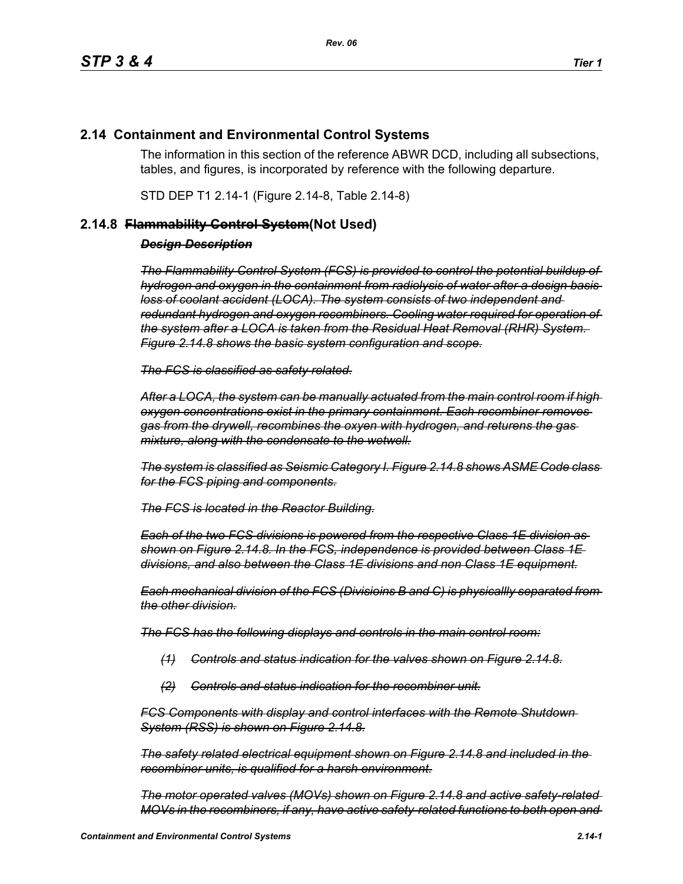## **2.14 Containment and Environmental Control Systems**

The information in this section of the reference ABWR DCD, including all subsections, tables, and figures, is incorporated by reference with the following departure.

STD DEP T1 2.14-1 (Figure 2.14-8, Table 2.14-8)

## **2.14.8 Flammability Control System(Not Used)**

## *Design Description*

*The Flammability Control System (FCS) is provided to control the potential buildup of hydrogen and oxygen in the containment from radiolysis of water after a design basis loss of coolant accident (LOCA). The system consists of two independent and redundant hydrogen and oxygen recombiners. Cooling water required for operation of the system after a LOCA is taken from the Residual Heat Removal (RHR) System. Figure 2.14.8 shows the basic system configuration and scope.*

*The FCS is classified as safety related.*

*After a LOCA, the system can be manually actuated from the main control room if high oxygen concentrations exist in the primary containment. Each recombiner removes gas from the drywell, recombines the oxyen with hydrogen, and returens the gas mixture, along with the condensate to the wetwell.*

*The system is classified as Seismic Category I. Figure 2.14.8 shows ASME Code class for the FCS piping and components.*

*The FCS is located in the Reactor Building.*

*Each of the two FCS divisions is powered from the respective Class 1E division as shown on Figure 2.14.8. In the FCS, independence is provided between Class 1E divisions, and also between the Class 1E divisions and non Class 1E equipment.*

*Each mechanical division of the FCS (Divisioins B and C) is physicallly separated from the other division.*

*The FCS has the following displays and controls in the main control room:*

- *(1) Controls and status indication for the valves shown on Figure 2.14.8.*
- *(2) Controls and status indication for the recombiner unit.*

*FCS Components with display and control interfaces with the Remote Shutdown System (RSS) is shown on Figure 2.14.8.*

*The safety related electrical equipment shown on Figure 2.14.8 and included in the recombiner units, is qualified for a harsh environment.*

*The motor operated valves (MOVs) shown on Figure 2.14.8 and active safety-related MOVs in the recombiners, if any, have active safety-related functions to both open and*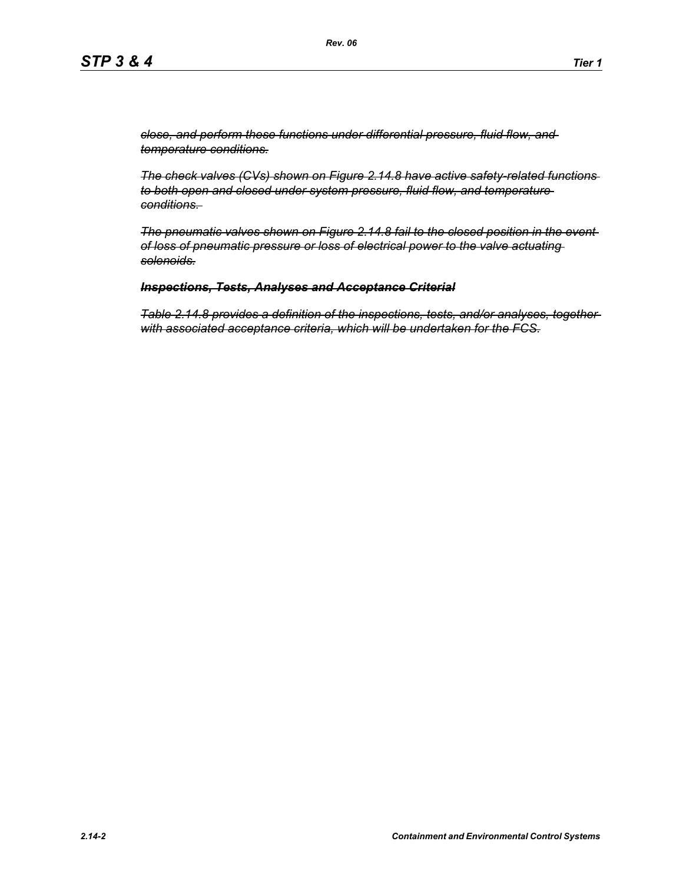*close, and perform these functions under differential pressure, fluid flow, and temperature conditions.*

*The check valves (CVs) shown on Figure 2.14.8 have active safety-related functions to both open and closed under system pressure, fluid flow, and temperature conditions.* 

*The pneumatic valves shown on Figure 2.14.8 fail to the closed position in the event of loss of pneumatic pressure or loss of electrical power to the valve actuating solenoids.*

## *Inspections, Tests, Analyses and Acceptance Criterial*

*Table 2.14.8 provides a definition of the inspections, tests, and/or analyses, together with associated acceptance criteria, which will be undertaken for the FCS.*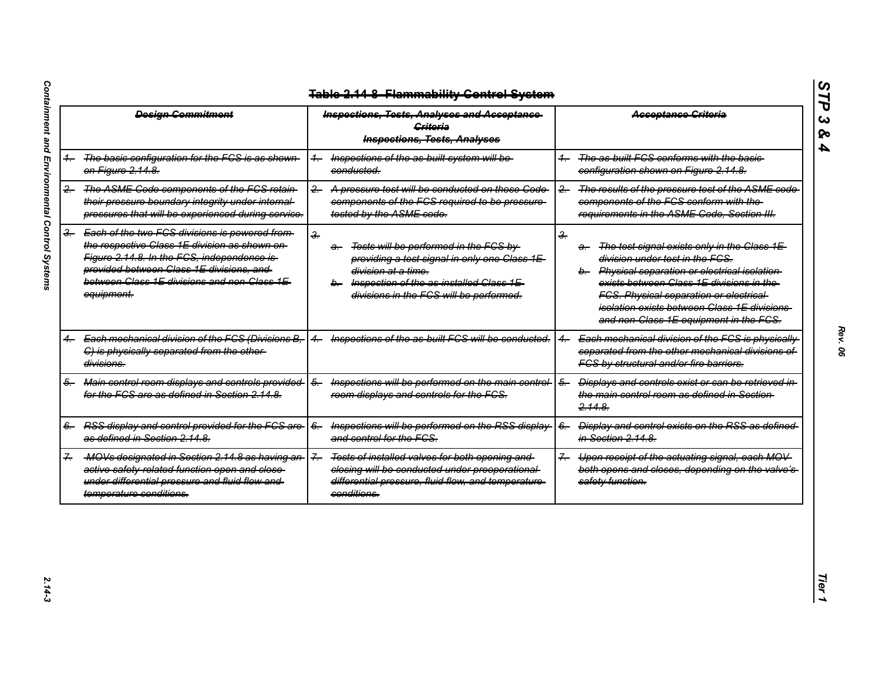|               | <b>Design Commitment</b>                                                                                                                                                                                                                                 | <b>Inspections, Tests, Analyses and Acceptance</b><br><b>Griteria</b><br><b>Inspections, Tests, Analyses</b>                                                                                                                               | <b>Acceptance Criteria</b>                                                                                                                                                                                                                                                                                                                          |
|---------------|----------------------------------------------------------------------------------------------------------------------------------------------------------------------------------------------------------------------------------------------------------|--------------------------------------------------------------------------------------------------------------------------------------------------------------------------------------------------------------------------------------------|-----------------------------------------------------------------------------------------------------------------------------------------------------------------------------------------------------------------------------------------------------------------------------------------------------------------------------------------------------|
|               | The basic configuration for the FCS is as shown<br>on Figure 2.14.8.                                                                                                                                                                                     | Inspections of the as built system will be-<br>$+$<br>conducted.                                                                                                                                                                           | The as built FCS conforms with the basic-<br>$\overline{\phantom{0}}$<br>configuration shown on Figure 2.14.8.                                                                                                                                                                                                                                      |
| 2.            | The ASME Code components of the FCS retain-<br>their pressure boundary integrity under internal-<br>pressures that will be experienced during service.                                                                                                   | A pressure test will be conducted on those Code<br>$\leftarrow$<br>components of the FCS required to be pressure-<br>tested by the ASME code.                                                                                              | The results of the pressure test of the ASME code<br>$-2$<br>components of the FCS conform with the-<br>requirements in the ASME Code, Section III.                                                                                                                                                                                                 |
| <del>3.</del> | Each of the two FCS divisions is powered from-<br>the respective Class 1E division as shown on-<br>Figure 2.14.8. In the FGS, independence is-<br>provided between Class 1E divisions, and<br>between Class 1E divisions and non Class 1E-<br>equipment. | $\frac{2}{\pi}$<br>Tests will be performed in the FCS by<br><del>a.</del><br>providing a test signal in only one Class 1E<br>division at a time.<br>b. Inspection of the as-installed Class 1E-<br>divisions in the FCS will be performed. | $\frac{2}{\pi}$<br>The test signal exists only in the Class 1E-<br>a.<br>division under test in the FCS.<br>b. Physical separation or electrical isolation<br>exists between Class 1E divisions in the-<br><b>FCS. Physical separation or electrical-</b><br>isolation exists between Class 1E divisions-<br>and non-Class 1E equipment in the FCS. |
|               | Each mechanical division of the FCS (Divisions B.<br>C) is physically separated from the other-<br>divisions.                                                                                                                                            | Inspections of the as built FCS will be conducted.                                                                                                                                                                                         | Each mechanical division of the FCS is physically<br>separated from the other mechanical divisions of<br>FCS by structural and/or fire barriers.                                                                                                                                                                                                    |
| 5.            | Main control room displays and controls provided<br>for the FCS are as defined in Section 2.14.8.                                                                                                                                                        | Inspections will be performed on the main control-<br>$\frac{5}{2}$<br>room displays and controls for the FCS.                                                                                                                             | $\overline{6}$<br>Displays and controls exist or can be retrieved in<br>the main control room as defined in Section-<br>2.14.8                                                                                                                                                                                                                      |
|               | RSS display and control provided for the FCS are-<br>as defined in Section 2.14.8.                                                                                                                                                                       | Inspections will be performed on the RSS display-<br>$6-$<br>and control for the FCS.                                                                                                                                                      | Display and control exists on the RSS as defined-<br>$6-$<br>in Section 2.14.8.                                                                                                                                                                                                                                                                     |
|               | MOVs designated in Section 2.14.8 as having an<br>active safety related function open and close-<br>under differential pressure and fluid flow and<br>temperature conditions.                                                                            | Tests of installed valves for both opening and<br>$\overline{f}$<br>closing will be conducted under preoperational<br>differential pressure, fluid flow, and temperature-<br>conditions.                                                   | Upon receipt of the actuating signal, each MOV<br>$\overline{f}$<br>both opens and closes, depending on the valve's-<br>safety function.                                                                                                                                                                                                            |

*STP 3 & 4*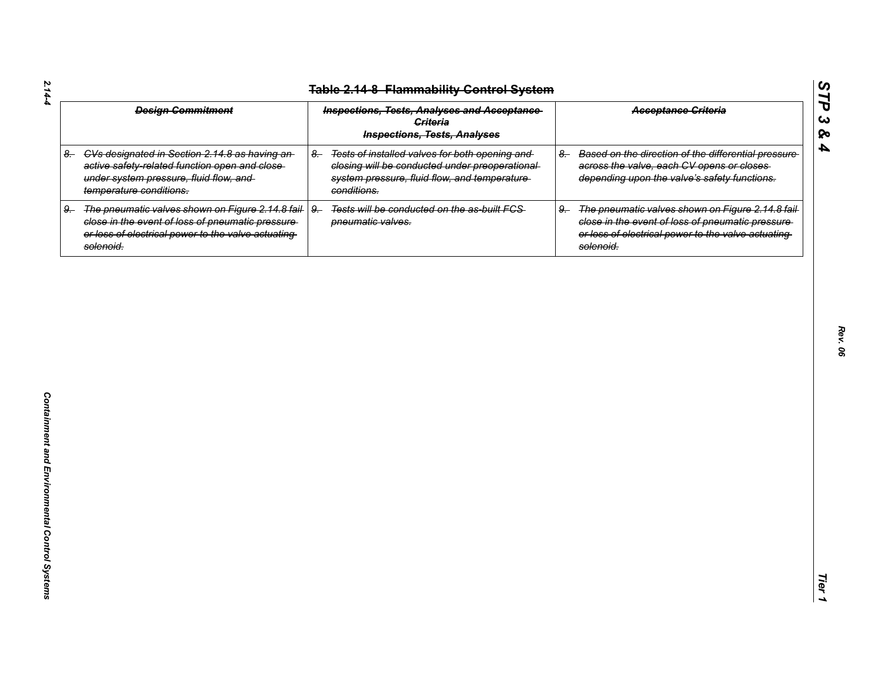| <b>Design Commitment</b>                                                                                                                                                         | <b>Inspections, Tests, Analyses and Acceptance</b><br><b>Criteria</b><br><b>Inspections, Tests, Analyses</b>                                                            | <b>Acceptance Griteria</b>                                                                                                                                                     |
|----------------------------------------------------------------------------------------------------------------------------------------------------------------------------------|-------------------------------------------------------------------------------------------------------------------------------------------------------------------------|--------------------------------------------------------------------------------------------------------------------------------------------------------------------------------|
| 8. CVs designated in Section 2.14.8 as having an-<br>active safety-related function open and close-<br>under system pressure, fluid flow, and<br>temperature conditions.         | Tests of installed valves for both opening and<br>$8-$<br>closing will be conducted under preoperational<br>system pressure, fluid flow, and temperature<br>conditions. | Based on the direction of the differential pressure<br>$8-$<br>across the valve, each CV opens or closes<br>depending upon the valve's safety functions.                       |
| The pneumatic valves shown on Figure 2.14.8 fail-<br>9.<br>close in the event of loss of pneumatic pressure-<br>or loss of electrical power to the valve actuating-<br>solenoid. | $9 -$<br>Tests will be conducted on the as-built FCS-<br>pneumatic valves.                                                                                              | The pneumatic valves shown on Figure 2.14.8 fail-<br>9.<br>close in the event of loss of pneumatic pressure<br>or loss of electrical power to the valve actuating<br>solenoid. |
|                                                                                                                                                                                  |                                                                                                                                                                         |                                                                                                                                                                                |
|                                                                                                                                                                                  |                                                                                                                                                                         |                                                                                                                                                                                |
|                                                                                                                                                                                  |                                                                                                                                                                         |                                                                                                                                                                                |
|                                                                                                                                                                                  |                                                                                                                                                                         |                                                                                                                                                                                |
|                                                                                                                                                                                  |                                                                                                                                                                         |                                                                                                                                                                                |
|                                                                                                                                                                                  |                                                                                                                                                                         |                                                                                                                                                                                |
|                                                                                                                                                                                  |                                                                                                                                                                         |                                                                                                                                                                                |

*Rev. 06*

*STP 3 & 4*